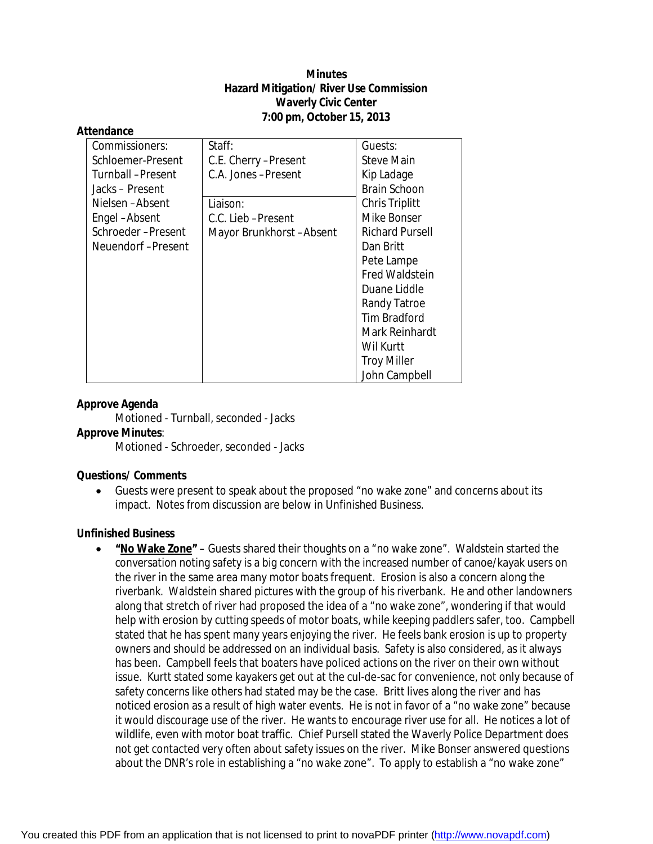# **Minutes Hazard Mitigation/ River Use Commission Waverly Civic Center 7:00 pm, October 15, 2013**

#### **Attendance**

| Commissioners:    | Staff:                  | Guests:                |
|-------------------|-------------------------|------------------------|
| Schloemer-Present | C.E. Cherry -Present    | <b>Steve Main</b>      |
| Turnball-Present  | C.A. Jones-Present      | Kip Ladage             |
| Jacks – Present   |                         | <b>Brain Schoon</b>    |
| Nielsen-Absent    | Liaison:                | <b>Chris Triplitt</b>  |
| Engel-Absent      | C.C. Lieb-Present       | Mike Bonser            |
| Schroeder-Present | Mayor Brunkhorst-Absent | <b>Richard Pursell</b> |
| Neuendorf-Present |                         | Dan Britt              |
|                   |                         | Pete Lampe             |
|                   |                         | <b>Fred Waldstein</b>  |
|                   |                         | Duane Liddle           |
|                   |                         | Randy Tatroe           |
|                   |                         | <b>Tim Bradford</b>    |
|                   |                         | Mark Reinhardt         |
|                   |                         | Wil Kurtt              |
|                   |                         | <b>Troy Miller</b>     |
|                   |                         | John Campbell          |

# **Approve Agenda**

Motioned - Turnball, seconded - Jacks

### **Approve Minutes**:

Motioned - Schroeder, seconded - Jacks

#### **Questions/ Comments**

 Guests were present to speak about the proposed "no wake zone" and concerns about its impact. Notes from discussion are below in Unfinished Business.

#### **Unfinished Business**

 **"No Wake Zone"** – Guests shared their thoughts on a "no wake zone". Waldstein started the conversation noting safety is a big concern with the increased number of canoe/kayak users on the river in the same area many motor boats frequent. Erosion is also a concern along the riverbank. Waldstein shared pictures with the group of his riverbank. He and other landowners along that stretch of river had proposed the idea of a "no wake zone", wondering if that would help with erosion by cutting speeds of motor boats, while keeping paddlers safer, too. Campbell stated that he has spent many years enjoying the river. He feels bank erosion is up to property owners and should be addressed on an individual basis. Safety is also considered, as it always has been. Campbell feels that boaters have policed actions on the river on their own without issue. Kurtt stated some kayakers get out at the cul-de-sac for convenience, not only because of safety concerns like others had stated may be the case. Britt lives along the river and has noticed erosion as a result of high water events. He is not in favor of a "no wake zone" because it would discourage use of the river. He wants to encourage river use for all. He notices a lot of wildlife, even with motor boat traffic. Chief Pursell stated the Waverly Police Department does not get contacted very often about safety issues on the river. Mike Bonser answered questions about the DNR's role in establishing a "no wake zone". To apply to establish a "no wake zone"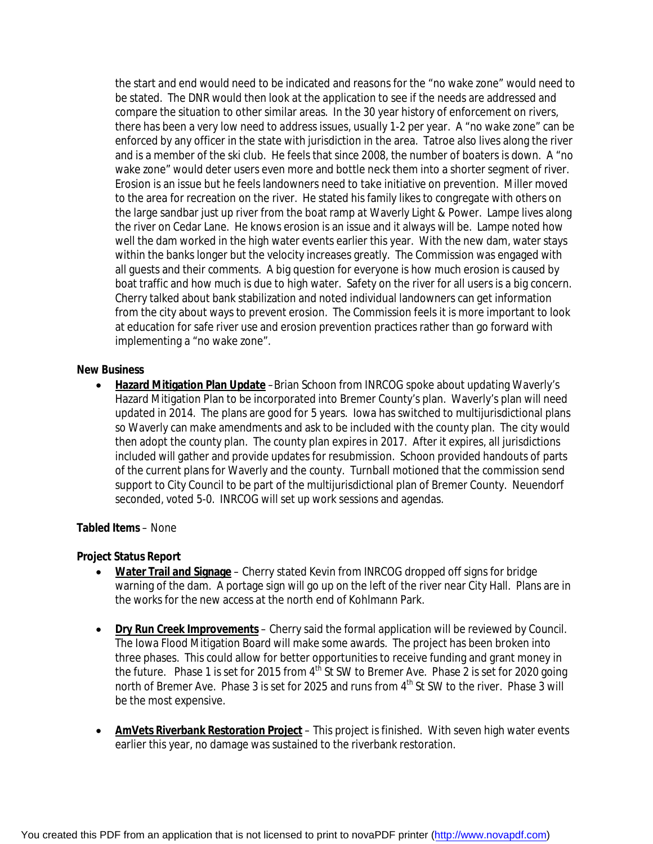the start and end would need to be indicated and reasons for the "no wake zone" would need to be stated. The DNR would then look at the application to see if the needs are addressed and compare the situation to other similar areas. In the 30 year history of enforcement on rivers, there has been a very low need to address issues, usually 1-2 per year. A "no wake zone" can be enforced by any officer in the state with jurisdiction in the area. Tatroe also lives along the river and is a member of the ski club. He feels that since 2008, the number of boaters is down. A "no wake zone" would deter users even more and bottle neck them into a shorter segment of river. Erosion is an issue but he feels landowners need to take initiative on prevention. Miller moved to the area for recreation on the river. He stated his family likes to congregate with others on the large sandbar just up river from the boat ramp at Waverly Light & Power. Lampe lives along the river on Cedar Lane. He knows erosion is an issue and it always will be. Lampe noted how well the dam worked in the high water events earlier this year. With the new dam, water stays within the banks longer but the velocity increases greatly. The Commission was engaged with all guests and their comments. A big question for everyone is how much erosion is caused by boat traffic and how much is due to high water. Safety on the river for all users is a big concern. Cherry talked about bank stabilization and noted individual landowners can get information from the city about ways to prevent erosion. The Commission feels it is more important to look at education for safe river use and erosion prevention practices rather than go forward with implementing a "no wake zone".

### **New Business**

 **Hazard Mitigation Plan Update** –Brian Schoon from INRCOG spoke about updating Waverly's Hazard Mitigation Plan to be incorporated into Bremer County's plan. Waverly's plan will need updated in 2014. The plans are good for 5 years. Iowa has switched to multijurisdictional plans so Waverly can make amendments and ask to be included with the county plan. The city would then adopt the county plan. The county plan expires in 2017. After it expires, all jurisdictions included will gather and provide updates for resubmission. Schoon provided handouts of parts of the current plans for Waverly and the county. Turnball motioned that the commission send support to City Council to be part of the multijurisdictional plan of Bremer County. Neuendorf seconded, voted 5-0. INRCOG will set up work sessions and agendas.

### **Tabled Items** – None

#### **Project Status Report**

- **Water Trail and Signage** Cherry stated Kevin from INRCOG dropped off signs for bridge warning of the dam. A portage sign will go up on the left of the river near City Hall. Plans are in the works for the new access at the north end of Kohlmann Park.
- **Dry Run Creek Improvements** Cherry said the formal application will be reviewed by Council. The Iowa Flood Mitigation Board will make some awards. The project has been broken into three phases. This could allow for better opportunities to receive funding and grant money in the future. Phase 1 is set for 2015 from 4<sup>th</sup> St SW to Bremer Ave. Phase 2 is set for 2020 going north of Bremer Ave. Phase 3 is set for 2025 and runs from 4<sup>th</sup> St SW to the river. Phase 3 will be the most expensive.
- **AmVets Riverbank Restoration Project** This project is finished. With seven high water events earlier this year, no damage was sustained to the riverbank restoration.